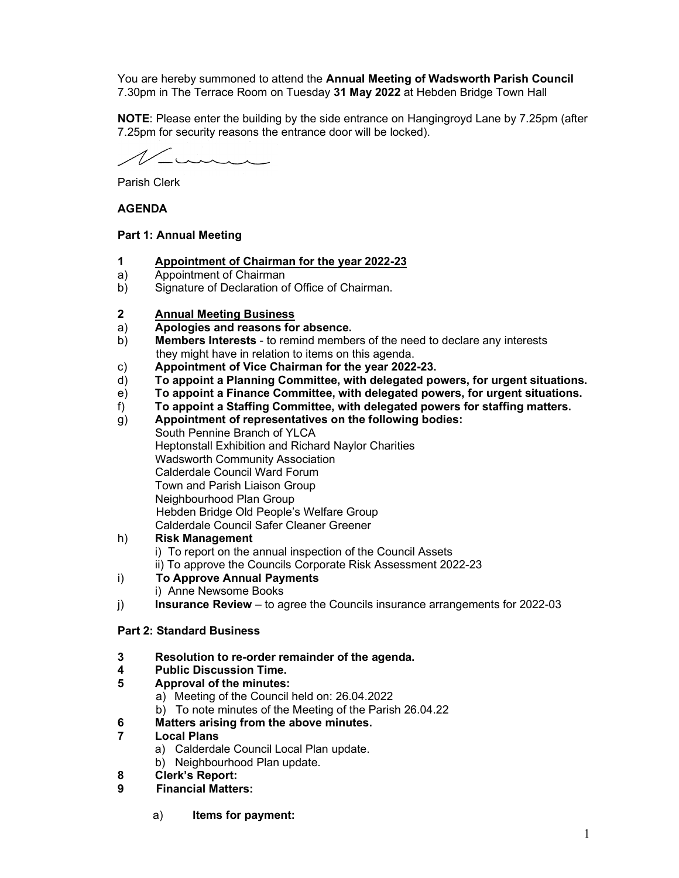You are hereby summoned to attend the Annual Meeting of Wadsworth Parish Council 7.30pm in The Terrace Room on Tuesday 31 May 2022 at Hebden Bridge Town Hall

NOTE: Please enter the building by the side entrance on Hangingroyd Lane by 7.25pm (after 7.25pm for security reasons the entrance door will be locked).

 $\overbrace{\phantom{iiiiiiiiiiiiiiiiiiiiiiiiii}}^{\sim}$ 

Parish Clerk

## AGENDA

## Part 1: Annual Meeting

- 1 Appointment of Chairman for the year 2022-23
- a) Appointment of Chairman
- b) Signature of Declaration of Office of Chairman.
- 2 Annual Meeting Business
- a) Apologies and reasons for absence.
- b) Members Interests to remind members of the need to declare any interests they might have in relation to items on this agenda.
- c) Appointment of Vice Chairman for the year 2022-23.
- d) To appoint a Planning Committee, with delegated powers, for urgent situations.
- e) To appoint a Finance Committee, with delegated powers, for urgent situations.
- f) To appoint a Staffing Committee, with delegated powers for staffing matters.
- g) Appointment of representatives on the following bodies: South Pennine Branch of YLCA Heptonstall Exhibition and Richard Naylor Charities Wadsworth Community Association Calderdale Council Ward Forum Town and Parish Liaison Group Neighbourhood Plan Group Hebden Bridge Old People's Welfare Group Calderdale Council Safer Cleaner Greener

# h) Risk Management

- i) To report on the annual inspection of the Council Assets
- ii) To approve the Councils Corporate Risk Assessment 2022-23

## i) To Approve Annual Payments

- i) Anne Newsome Books
- $j$  Insurance Review to agree the Councils insurance arrangements for 2022-03

## Part 2: Standard Business

3 Resolution to re-order remainder of the agenda.

# 4 Public Discussion Time.

- 5 Approval of the minutes:
	- a) Meeting of the Council held on: 26.04.2022
		- b) To note minutes of the Meeting of the Parish 26.04.22

# 6 Matters arising from the above minutes.

# 7 Local Plans

- a) Calderdale Council Local Plan update.
- b) Neighbourhood Plan update.
- 8 Clerk's Report:
- 9 Financial Matters:
	- a) Items for payment: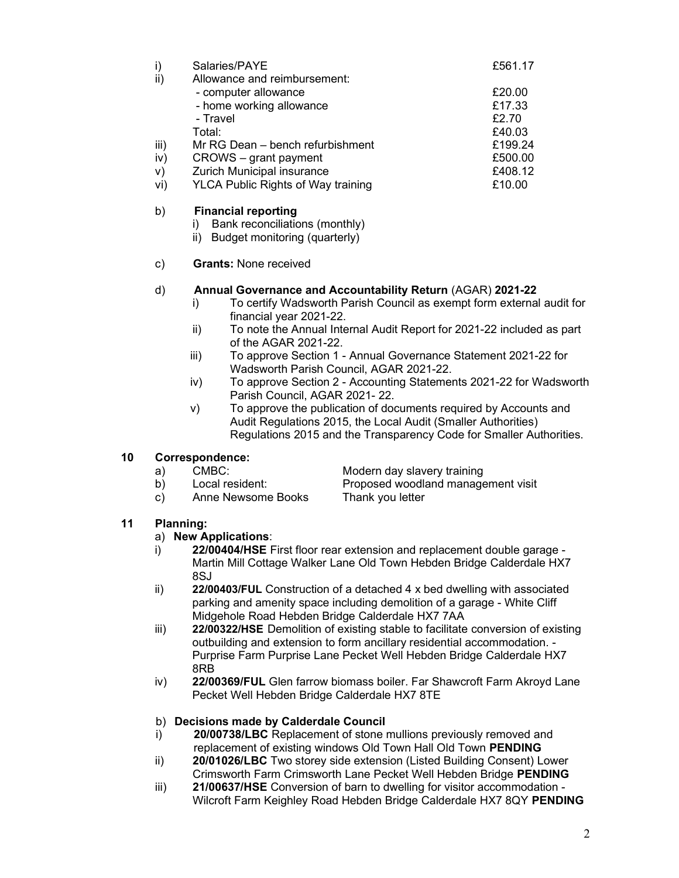|      | Salaries/PAYE                             | £561.17 |
|------|-------------------------------------------|---------|
| ii)  | Allowance and reimbursement:              |         |
|      | - computer allowance                      | £20.00  |
|      | - home working allowance                  | £17.33  |
|      | - Travel                                  | £2.70   |
|      | Total:                                    | £40.03  |
| iii) | Mr RG Dean - bench refurbishment          | £199.24 |
| iv)  | CROWS – grant payment                     | £500.00 |
| V)   | Zurich Municipal insurance                | £408.12 |
| vi)  | <b>YLCA Public Rights of Way training</b> | £10.00  |

## b) Financial reporting

i) Bank reconciliations (monthly)

ii) Budget monitoring (quarterly)

## c) Grants: None received

#### d) Annual Governance and Accountability Return (AGAR) 2021-22

- i) To certify Wadsworth Parish Council as exempt form external audit for financial year 2021-22.
- ii) To note the Annual Internal Audit Report for 2021-22 included as part of the AGAR 2021-22.
- iii) To approve Section 1 Annual Governance Statement 2021-22 for Wadsworth Parish Council, AGAR 2021-22.
- iv) To approve Section 2 Accounting Statements 2021-22 for Wadsworth Parish Council, AGAR 2021- 22.
- v) To approve the publication of documents required by Accounts and Audit Regulations 2015, the Local Audit (Smaller Authorities) Regulations 2015 and the Transparency Code for Smaller Authorities.

#### 10 Correspondence:

- a) CMBC: Modern day slavery training
- b) Local resident: Proposed woodland management visit
- c) Anne Newsome Books Thank you letter

# 11 Planning:

- a) New Applications:
- i) 22/00404/HSE First floor rear extension and replacement double garage -Martin Mill Cottage Walker Lane Old Town Hebden Bridge Calderdale HX7 8SJ
- ii) 22/00403/FUL Construction of a detached 4 x bed dwelling with associated parking and amenity space including demolition of a garage - White Cliff Midgehole Road Hebden Bridge Calderdale HX7 7AA
- iii) 22/00322/HSE Demolition of existing stable to facilitate conversion of existing outbuilding and extension to form ancillary residential accommodation. - Purprise Farm Purprise Lane Pecket Well Hebden Bridge Calderdale HX7 8RB
- iv) 22/00369/FUL Glen farrow biomass boiler. Far Shawcroft Farm Akroyd Lane Pecket Well Hebden Bridge Calderdale HX7 8TE

## b) Decisions made by Calderdale Council

- i) 20/00738/LBC Replacement of stone mullions previously removed and replacement of existing windows Old Town Hall Old Town PENDING
- ii) 20/01026/LBC Two storey side extension (Listed Building Consent) Lower Crimsworth Farm Crimsworth Lane Pecket Well Hebden Bridge PENDING
- iii) 21/00637/HSE Conversion of barn to dwelling for visitor accommodation Wilcroft Farm Keighley Road Hebden Bridge Calderdale HX7 8QY PENDING